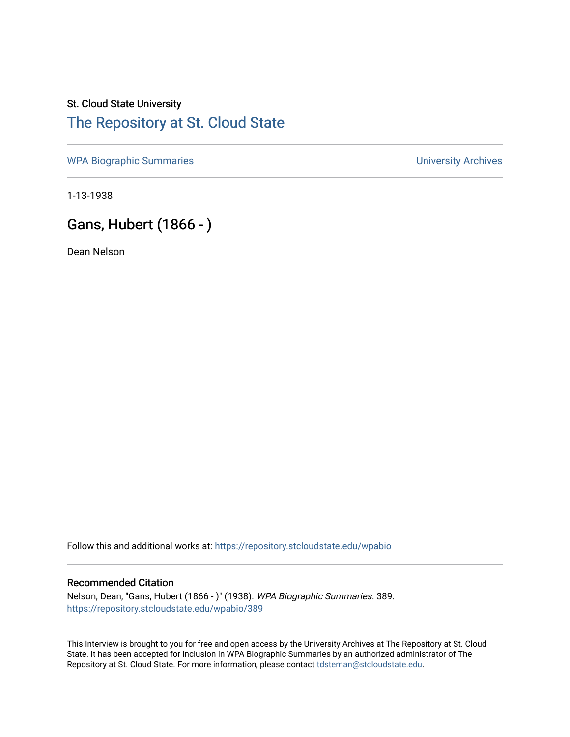## St. Cloud State University [The Repository at St. Cloud State](https://repository.stcloudstate.edu/)

[WPA Biographic Summaries](https://repository.stcloudstate.edu/wpabio) **WPA Biographic Summaries University Archives** 

1-13-1938

## Gans, Hubert (1866 - )

Dean Nelson

Follow this and additional works at: [https://repository.stcloudstate.edu/wpabio](https://repository.stcloudstate.edu/wpabio?utm_source=repository.stcloudstate.edu%2Fwpabio%2F389&utm_medium=PDF&utm_campaign=PDFCoverPages) 

## Recommended Citation

Nelson, Dean, "Gans, Hubert (1866 - )" (1938). WPA Biographic Summaries. 389. [https://repository.stcloudstate.edu/wpabio/389](https://repository.stcloudstate.edu/wpabio/389?utm_source=repository.stcloudstate.edu%2Fwpabio%2F389&utm_medium=PDF&utm_campaign=PDFCoverPages) 

This Interview is brought to you for free and open access by the University Archives at The Repository at St. Cloud State. It has been accepted for inclusion in WPA Biographic Summaries by an authorized administrator of The Repository at St. Cloud State. For more information, please contact [tdsteman@stcloudstate.edu.](mailto:tdsteman@stcloudstate.edu)